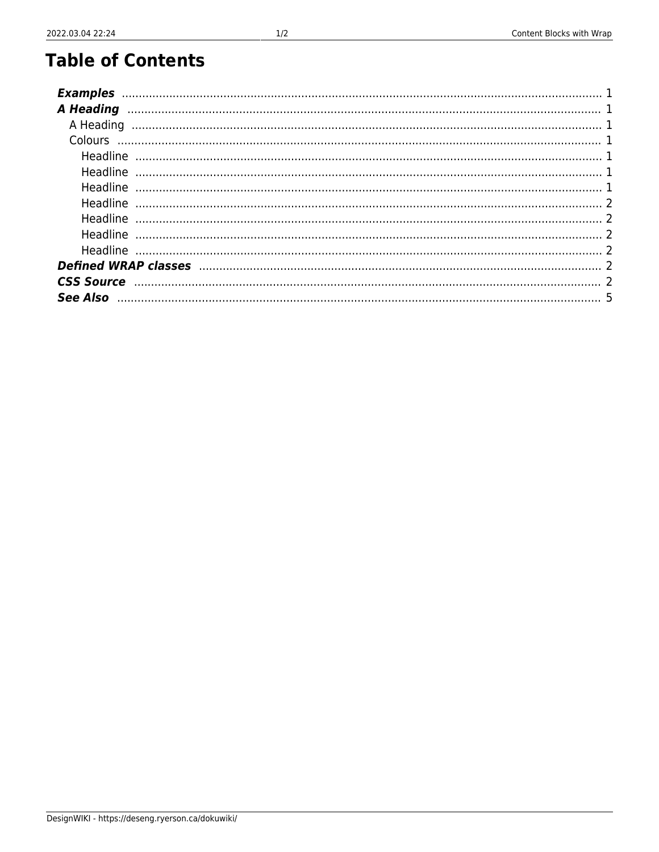# **Table of Contents**

| <b>Examples</b>                                                                                      |  |
|------------------------------------------------------------------------------------------------------|--|
| <b>A Heading</b>                                                                                     |  |
| A Heading                                                                                            |  |
|                                                                                                      |  |
| Headline                                                                                             |  |
| Headline                                                                                             |  |
| Headline                                                                                             |  |
| Headline                                                                                             |  |
| Headline                                                                                             |  |
| Headline                                                                                             |  |
| Headline                                                                                             |  |
|                                                                                                      |  |
| CSS Source www.although.com/www.although.com/www.although.com/www.although.com/www.although.com/www. |  |
|                                                                                                      |  |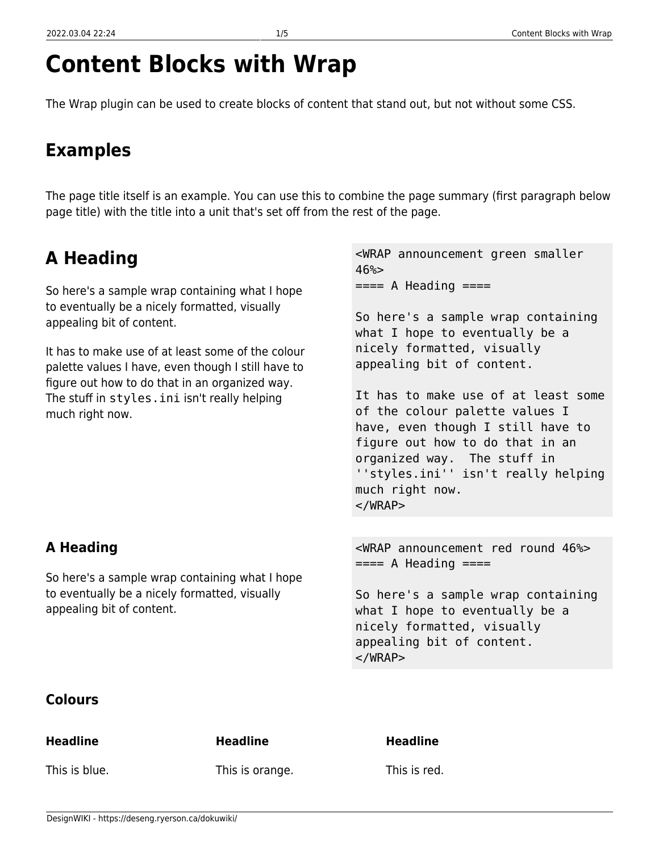# **Content Blocks with Wrap**

The Wrap plugin can be used to create blocks of content that stand out, but not without some CSS.

# <span id="page-2-0"></span>**Examples**

The page title itself is an example. You can use this to combine the page summary (first paragraph below page title) with the title into a unit that's set off from the rest of the page.

# <span id="page-2-1"></span>**A Heading**

So here's a sample wrap containing what I hope to eventually be a nicely formatted, visually appealing bit of content.

It has to make use of at least some of the colour palette values I have, even though I still have to figure out how to do that in an organized way. The stuff in styles.ini isn't really helping much right now.

<WRAP announcement green smaller  $46%$  $====$  A Heading  $====$ 

So here's a sample wrap containing what I hope to eventually be a nicely formatted, visually appealing bit of content.

It has to make use of at least some of the colour palette values I have, even though I still have to figure out how to do that in an organized way. The stuff in ''styles.ini'' isn't really helping much right now.  $<$ /WRAP $>$ 

<span id="page-2-2"></span>**A Heading**

So here's a sample wrap containing what I hope to eventually be a nicely formatted, visually appealing bit of content.

<WRAP announcement red round 46%>  $=== A$  Heading  $===$ 

So here's a sample wrap containing what I hope to eventually be a nicely formatted, visually appealing bit of content. </WRAP>

#### <span id="page-2-3"></span>**Colours**

#### <span id="page-2-4"></span>**Headline**

**Headline**

This is blue.

This is orange.

**Headline**

This is red.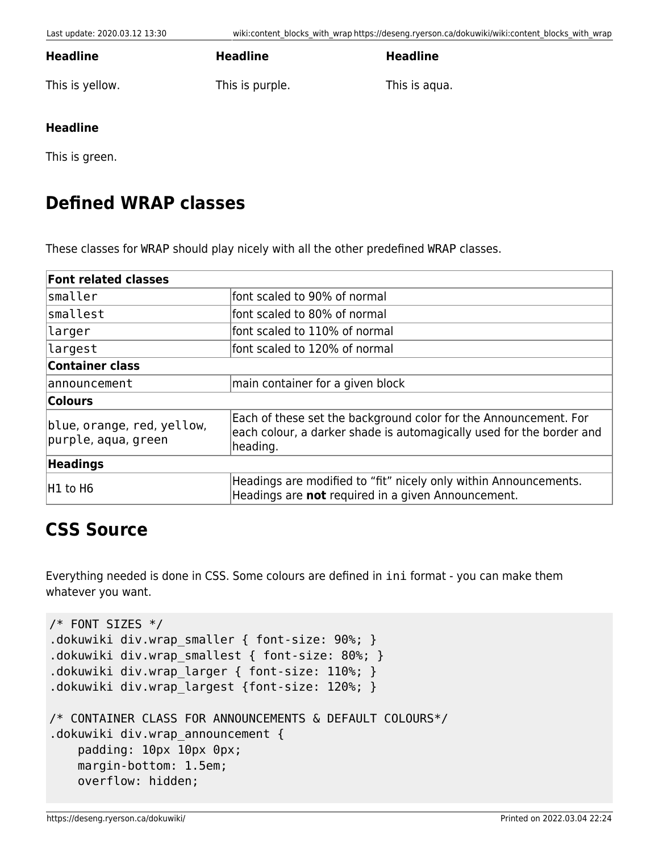**Headline**

This is yellow.

This is purple.

**Headline**

This is aqua.

#### <span id="page-3-1"></span>**Headline**

<span id="page-3-0"></span>**Headline**

This is green.

### <span id="page-3-2"></span>**Defined WRAP classes**

These classes for WRAP should play nicely with all the other predefined WRAP classes.

| <b>Font related classes</b>                       |                                                                                                                                                      |  |
|---------------------------------------------------|------------------------------------------------------------------------------------------------------------------------------------------------------|--|
| smaller                                           | font scaled to 90% of normal                                                                                                                         |  |
| smallest                                          | font scaled to 80% of normal                                                                                                                         |  |
| larger                                            | font scaled to 110% of normal                                                                                                                        |  |
| largest                                           | font scaled to 120% of normal                                                                                                                        |  |
| <b>Container class</b>                            |                                                                                                                                                      |  |
| announcement                                      | main container for a given block                                                                                                                     |  |
| Colours                                           |                                                                                                                                                      |  |
| blue, orange, red, yellow,<br>purple, aqua, green | Each of these set the background color for the Announcement. For<br>each colour, a darker shade is automagically used for the border and<br>heading. |  |
| <b>Headings</b>                                   |                                                                                                                                                      |  |
| H1 to H6                                          | Headings are modified to "fit" nicely only within Announcements.<br>Headings are not required in a given Announcement.                               |  |

### <span id="page-3-3"></span>**CSS Source**

Everything needed is done in CSS. Some colours are defined in ini format - you can make them whatever you want.

```
/* FONT SIZES */
.dokuwiki div.wrap smaller { font-size: 90%; }
.dokuwiki div.wrap_smallest { font-size: 80%; }
.dokuwiki div.wrap_larger { font-size: 110%; }
.dokuwiki div.wrap_largest {font-size: 120%; }
/* CONTAINER CLASS FOR ANNOUNCEMENTS & DEFAULT COLOURS*/
.dokuwiki div.wrap announcement {
     padding: 10px 10px 0px;
     margin-bottom: 1.5em;
     overflow: hidden;
```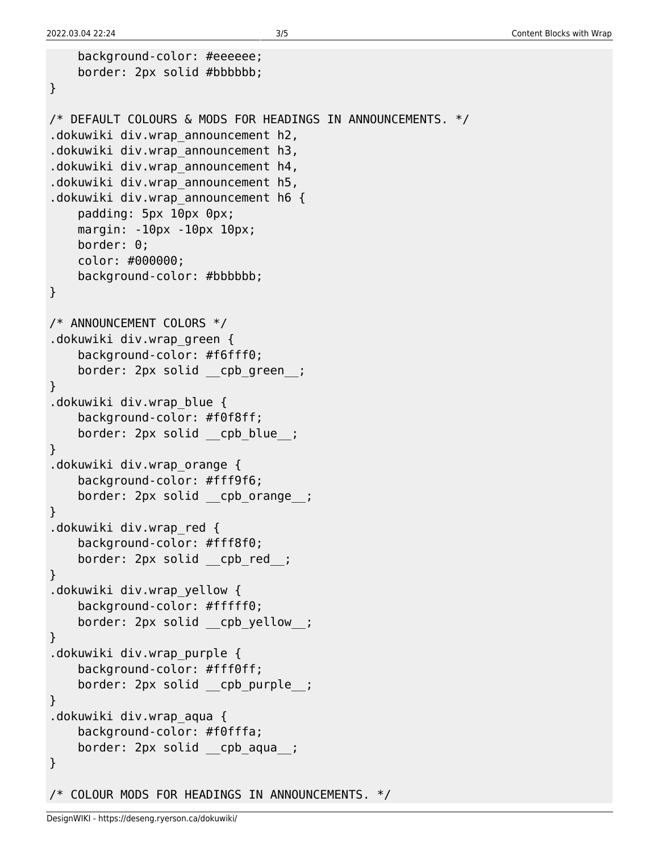```
 background-color: #eeeeee;
     border: 2px solid #bbbbbb;
}
/* DEFAULT COLOURS & MODS FOR HEADINGS IN ANNOUNCEMENTS. */
.dokuwiki div.wrap_announcement h2,
.dokuwiki div.wrap_announcement h3,
.dokuwiki div.wrap_announcement h4,
.dokuwiki div.wrap_announcement h5,
.dokuwiki div.wrap announcement h6 {
     padding: 5px 10px 0px;
     margin: -10px -10px 10px;
     border: 0;
     color: #000000;
     background-color: #bbbbbb;
}
/* ANNOUNCEMENT COLORS */
.dokuwiki div.wrap_green {
     background-color: #f6fff0;
     border: 2px solid __cpb_green__;
}
.dokuwiki div.wrap_blue {
     background-color: #f0f8ff;
    border: 2px solid cpb blue ;
}
.dokuwiki div.wrap_orange {
     background-color: #fff9f6;
     border: 2px solid __cpb_orange__;
}
.dokuwiki div.wrap_red {
     background-color: #fff8f0;
    border: 2px solid cpb red ;
}
.dokuwiki div.wrap_yellow {
     background-color: #fffff0;
    border: 2px solid cpb yellow ;
}
.dokuwiki div.wrap_purple {
     background-color: #fff0ff;
    border: 2px solid cpb purple ;
}
.dokuwiki div.wrap_aqua {
     background-color: #f0fffa;
     border: 2px solid __cpb_aqua__;
}
/* COLOUR MODS FOR HEADINGS IN ANNOUNCEMENTS. */
```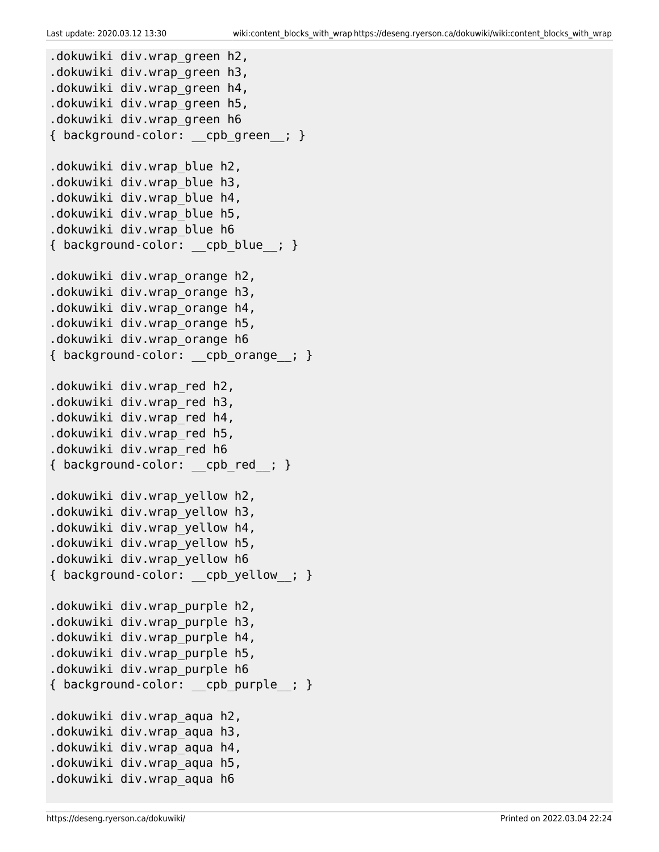```
.dokuwiki div.wrap_green h2,
.dokuwiki div.wrap_green h3,
.dokuwiki div.wrap_green h4,
.dokuwiki div.wrap_green h5,
.dokuwiki div.wrap_green h6
{ background-color: __cpb_green__; }
.dokuwiki div.wrap_blue h2,
.dokuwiki div.wrap_blue h3,
.dokuwiki div.wrap_blue h4,
.dokuwiki div.wrap_blue h5,
.dokuwiki div.wrap_blue h6
{ background-color: cpb blue ; }
.dokuwiki div.wrap_orange h2,
.dokuwiki div.wrap_orange h3,
.dokuwiki div.wrap_orange h4,
.dokuwiki div.wrap_orange h5,
.dokuwiki div.wrap_orange h6
{ background-color: cpb orange ; }
.dokuwiki div.wrap_red h2,
.dokuwiki div.wrap_red h3,
.dokuwiki div.wrap_red h4,
.dokuwiki div.wrap_red h5,
.dokuwiki div.wrap_red h6
{ background-color: cpb red ; }
.dokuwiki div.wrap_yellow h2,
.dokuwiki div.wrap_yellow h3,
.dokuwiki div.wrap_yellow h4,
.dokuwiki div.wrap_yellow h5,
.dokuwiki div.wrap_yellow h6
{ background-color: cpb yellow ; }
.dokuwiki div.wrap_purple h2,
.dokuwiki div.wrap_purple h3,
.dokuwiki div.wrap_purple h4,
.dokuwiki div.wrap_purple h5,
.dokuwiki div.wrap_purple h6
{ background-color: __cpb_purple__; }
.dokuwiki div.wrap_aqua h2,
.dokuwiki div.wrap_aqua h3,
.dokuwiki div.wrap_aqua h4,
.dokuwiki div.wrap_aqua h5,
.dokuwiki div.wrap_aqua h6
```